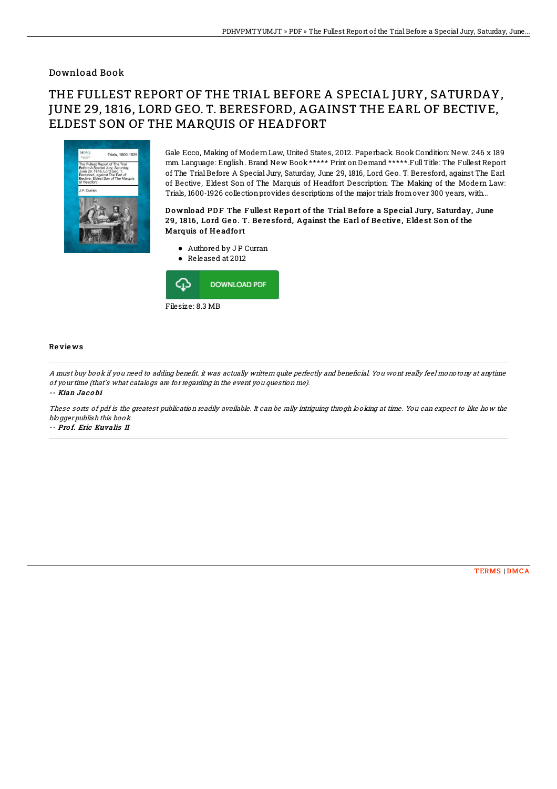## Download Book

# THE FULLEST REPORT OF THE TRIAL BEFORE A SPECIAL JURY, SATURDAY, JUNE 29, 1816, LORD GEO. T. BERESFORD, AGAINST THE EARL OF BECTIVE, ELDEST SON OF THE MARQUIS OF HEADFORT



Gale Ecco, Making of ModernLaw, United States, 2012. Paperback. Book Condition: New. 246 x 189 mm. Language: English. Brand New Book\*\*\*\*\* Print onDemand \*\*\*\*\*.FullTitle: The Fullest Report of The Trial Before A Special Jury, Saturday, June 29, 1816, Lord Geo. T. Beresford, against The Earl of Bective, Eldest Son of The Marquis of Headfort Description: The Making of the Modern Law: Trials, 1600-1926 collectionprovides descriptions of the major trials fromover 300 years, with...

### Download PDF The Fullest Report of the Trial Before a Special Jury, Saturday, June 29, 1816, Lord Geo. T. Beresford, Against the Earl of Bective, Eldest Son of the Marquis of Headfort

- Authored by JP Curran
- Released at 2012



#### Re vie ws

A must buy book if you need to adding benefit. it was actually writtern quite perfectly and beneficial. You wont really feel monotony at anytime of your time (that's what catalogs are for regarding in the event you question me).

-- Kian Jac o bi

These sorts of pdf is the greatest publication readily available. It can be rally intriguing throgh looking at time. You can expect to like how the blogger publish this book.

-- Pro f. Eric Kuvalis II